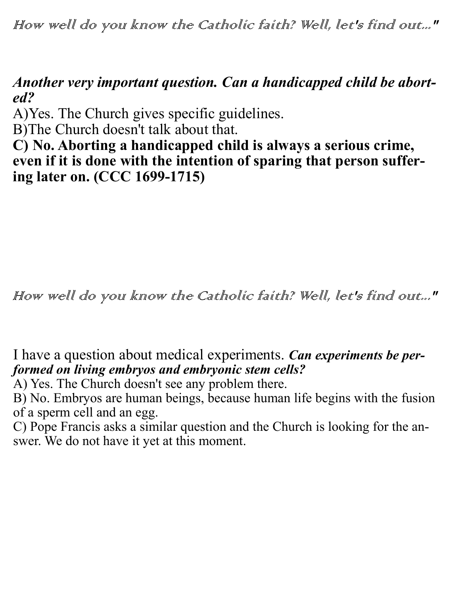How well do you know the Catholic faith? Well, let's find out..."

## *Another very important question. Can a handicapped child be aborted?*

A)Yes. The Church gives specific guidelines.

B)The Church doesn't talk about that.

**C) No. Aborting a handicapped child is always a serious crime, even if it is done with the intention of sparing that person suffering later on. (CCC 1699-1715)**

How well do you know the Catholic faith? Well, let's find out..."

I have a question about medical experiments. *Can experiments be performed on living embryos and embryonic stem cells?*

A) Yes. The Church doesn't see any problem there.

B) No. Embryos are human beings, because human life begins with the fusion of a sperm cell and an egg.

C) Pope Francis asks a similar question and the Church is looking for the answer. We do not have it yet at this moment.